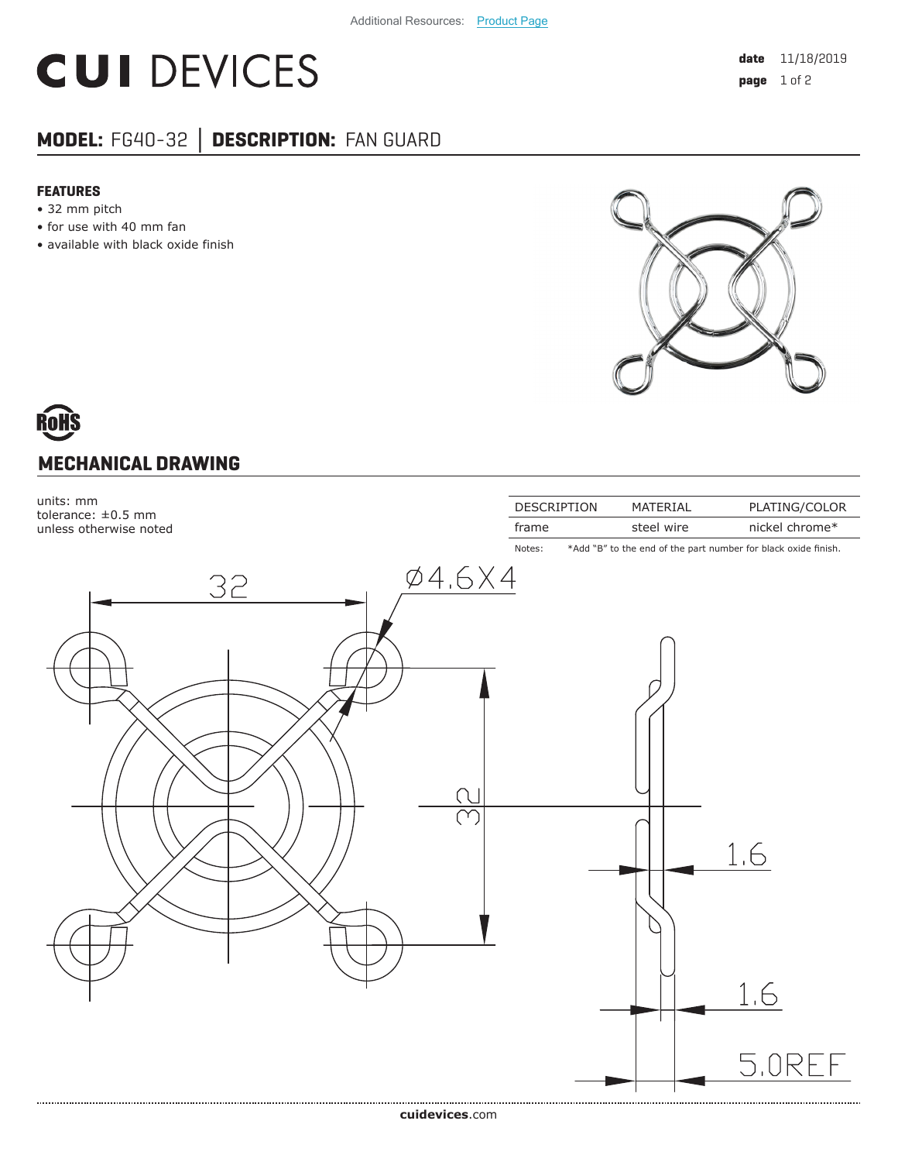## **CUI DEVICES**

### **MODEL:** FG40-32 **│ DESCRIPTION:** FAN GUARD

#### **FEATURES**

- 32 mm pitch
- for use with 40 mm fan
- available with black oxide finish



# **MECHANICAL DRAWING**



**cui[devices](https://www.cuidevices.com/track?actionLabel=Datasheet-ClickThrough-HomePage&label=FG40-32.pdf&path=/)**.com